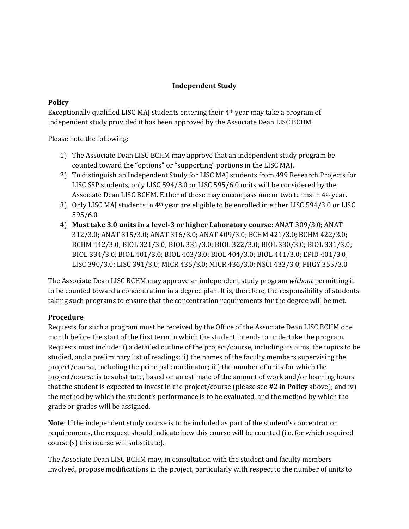## **Independent Study**

### **Policy**

Exceptionally qualified LISC MAJ students entering their 4th year may take a program of independent study provided it has been approved by the Associate Dean LISC BCHM.

Please note the following:

- 1) The Associate Dean LISC BCHM may approve that an independent study program be counted toward the "options" or "supporting" portions in the LISC MAJ.
- 2) To distinguish an Independent Study for LISC MAJ students from 499 Research Projects for LISC SSP students, only LISC 594/3.0 or LISC 595/6.0 units will be considered by the Associate Dean LISC BCHM. Either of these may encompass one or two terms in 4<sup>th</sup> year.
- 3) Only LISC MAJ students in 4th year are eligible to be enrolled in either LISC 594/3.0 or LISC 595/6.0.
- 4) **Must take 3.0 units in a level-3 or higher Laboratory course:** ANAT 309/3.0; ANAT 312/3.0; ANAT 315/3.0; ANAT 316/3.0; ANAT 409/3.0; BCHM 421/3.0; BCHM 422/3.0; BCHM 442/3.0; BIOL 321/3.0; BIOL 331/3.0; BIOL 322/3.0; BIOL 330/3.0; BIOL 331/3.0; BIOL 334/3.0; BIOL 401/3.0; BIOL 403/3.0; BIOL 404/3.0; BIOL 441/3.0; EPID 401/3.0; LISC 390/3.0; LISC 391/3.0; MICR 435/3.0; MICR 436/3.0; NSCI 433/3.0; PHGY 355/3.0

The Associate Dean LISC BCHM may approve an independent study program *without* permitting it to be counted toward a concentration in a degree plan. It is, therefore, the responsibility of students taking such programs to ensure that the concentration requirements for the degree will be met.

# **Procedure**

Requests for such a program must be received by the Office of the Associate Dean LISC BCHM one month before the start of the first term in which the student intends to undertake the program. Requests must include: i) a detailed outline of the project/course, including its aims, the topics to be studied, and a preliminary list of readings; ii) the names of the faculty members supervising the project/course, including the principal coordinator; iii) the number of units for which the project/course is to substitute, based on an estimate of the amount of work and/or learning hours that the student is expected to invest in the project/course (please see #2 in **Policy** above); and iv) the method by which the student's performance is to be evaluated, and the method by which the grade or grades will be assigned.

**Note**: If the independent study course is to be included as part of the student's concentration requirements, the request should indicate how this course will be counted (i.e. for which required course(s) this course will substitute).

The Associate Dean LISC BCHM may, in consultation with the student and faculty members involved, propose modifications in the project, particularly with respect to the number of units to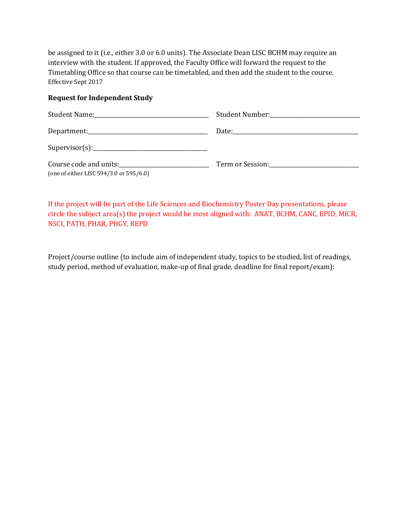be assigned to it (i.e., either 3.0 or 6.0 units). The Associate Dean LISC BCHM may require an interview with the student. If approved, the Faculty Office will forward the request to the Timetabling Office so that course can be timetabled, and then add the student to the course. Effective Sept 2017

#### **Request for Independent Study**

| Course code and units:<br><u>Course code and units:</u><br>(one of either LISC 594/3.0 or 595/6.0) | Term or Session: The Contract of Session: |
|----------------------------------------------------------------------------------------------------|-------------------------------------------|

If the project will be part of the Life Sciences and Biochemistry Poster Day presentations, please circle the subject area(s) the project would be most aligned with: ANAT, BCHM, CANC, EPID, MICR, NSCI, PATH, PHAR, PHGY, REPD

Project/course outline (to include aim of independent study, topics to be studied, list of readings, study period, method of evaluation, make-up of final grade, deadline for final report/exam):